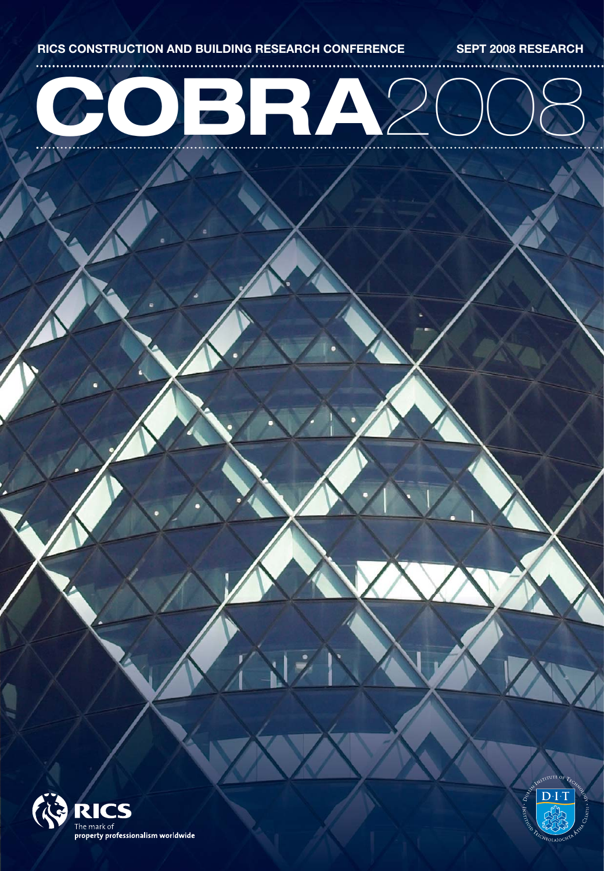

للمنابذ

# **COBRA**2008



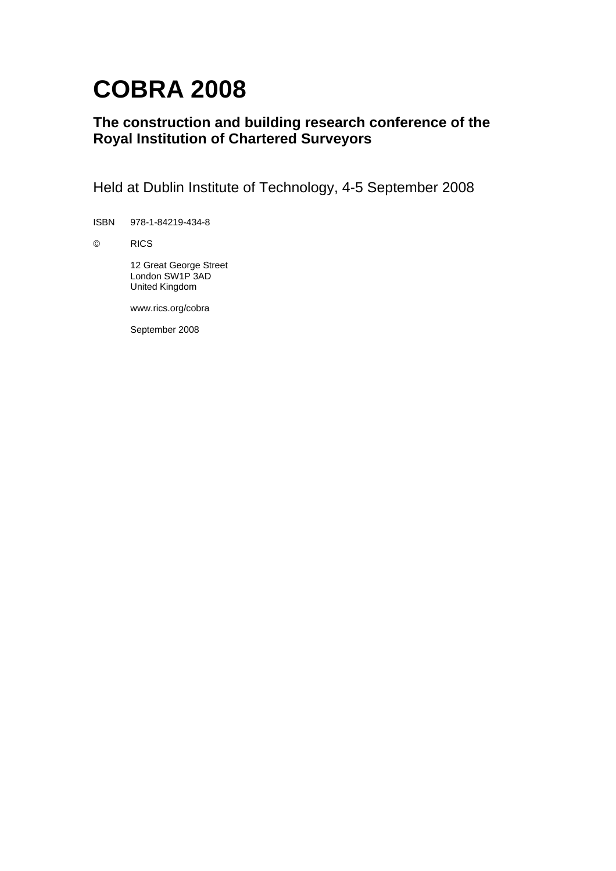# **COBRA 2008**

### **The construction and building research conference of the Royal Institution of Chartered Surveyors**

Held at Dublin Institute of Technology, 4-5 September 2008

ISBN 978-1-84219-434-8

© RICS

 12 Great George Street London SW1P 3AD United Kingdom

www.rics.org/cobra

September 2008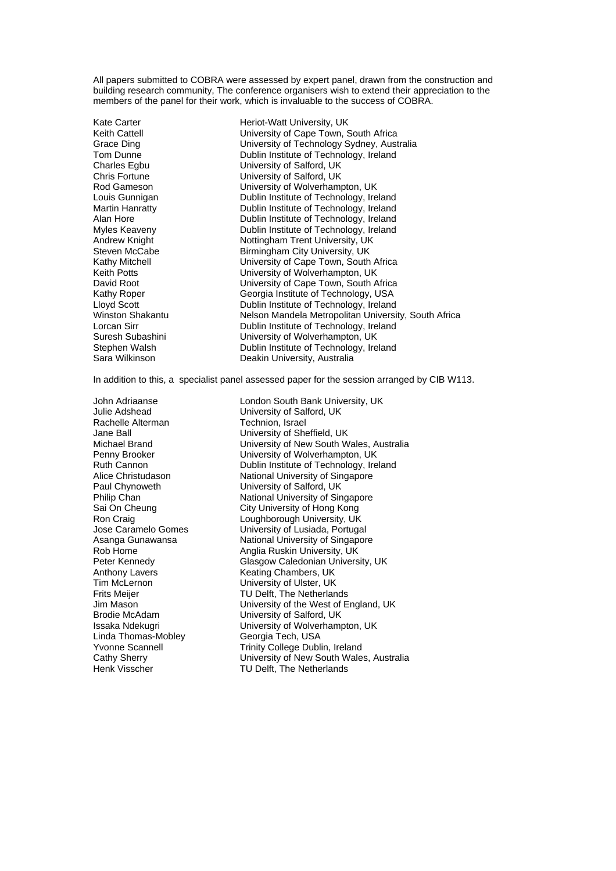All papers submitted to COBRA were assessed by expert panel, drawn from the construction and building research community, The conference organisers wish to extend their appreciation to the members of the panel for their work, which is invaluable to the success of COBRA.

Kate Carter **Heriot-Watt University, UK** Keith Cattell **Exercise State Leapers** University of Cape Town, South Africa<br>
University of Technology Sydney, Aust Grace Ding University of Technology Sydney, Australia Tom Dunne **Dublin Institute of Technology, Ireland**<br>
Charles Eqbu **Dublin Institute of Salford, UK** University of Salford, UK Chris Fortune **Vertus Chris Fortune**<br>
Rod Gameson **Vertus Christian**<br>
University of Wolverham Rod Gameson **Cameson** University of Wolverhampton, UK<br>
Louis Gunnigan **Dublin Institute of Technology, Ire** Dublin Institute of Technology, Ireland Martin Hanratty **Dublin Institute of Technology**, Ireland Alan Hore **Constant Constructs** Dublin Institute of Technology, Ireland Myles Keaveny **Dublin Institute of Technology, Ireland** Andrew Knight Nottingham Trent University, UK Steven McCabe Birmingham City University, UK<br>Kathy Mitchell Birmingham City University of Cape Town, South University of Cape Town, South Africa Keith Potts<br>
University of Wolverhampton, UK<br>
University of Cape Town, South A University of Cape Town, South Africa Kathy Roper Georgia Institute of Technology, USA Lloyd Scott Dublin Institute of Technology, Ireland Winston Shakantu **Nelson Mandela Metropolitan University, South Africa**<br>
Lorcan Sirr<br>
Dublin Institute of Technology, Ireland Dublin Institute of Technology, Ireland Suresh Subashini University of Wolverhampton, UK Stephen Walsh **Dublin Institute of Technology, Ireland**<br>
Sara Wilkinson **Deakin University, Australia** Deakin University, Australia

In addition to this, a specialist panel assessed paper for the session arranged by CIB W113.

John Adriaanse London South Bank University, UK Rachelle Alterman Technion, Israel Tim McLernon **The University of Ulster, UK**<br>Frits Meijer **TU Delft, The Netherlan** Linda Thomas-Mobley Georgia Tech, USA

Julie Adshead University of Salford, UK Jane Ball University of Sheffield, UK Michael Brand University of New South Wales, Australia Penny Brooker **National Community University of Wolverhampton, UK**<br>
Ruth Cannon **National Communist Communist Communist Communist Communist Communist Communist Communist Communist** Dublin Institute of Technology, Ireland Alice Christudason National University of Singapore Paul Chynoweth University of Salford, UK Philip Chan National University of Singapore Sai On Cheung City University of Hong Kong Ron Craig **Constant Constructs**<br>
Loughborough University of Lusiada, Portuga<br>
University of Lusiada, Portuga University of Lusiada, Portugal Asanga Gunawansa National University of Singapore Rob Home **Anglia Ruskin University, UK**<br>Peter Kennedy **Anglia Ruskin University, UK**<br>Glasgow Caledonian Univers Peter Kennedy **Glasgow Caledonian University, UK**<br>Anthony Lavers **Caledonian Chambers, UK** Keating Chambers, UK TU Delft, The Netherlands Jim Mason University of the West of England, UK Brodie McAdam University of Salford, UK Issaka Ndekugri **Name is a University of Wolverhampton, UK** Yvonne Scannell Trinity College Dublin, Ireland Cathy Sherry University of New South Wales, Australia Henk Visscher TU Delft, The Netherlands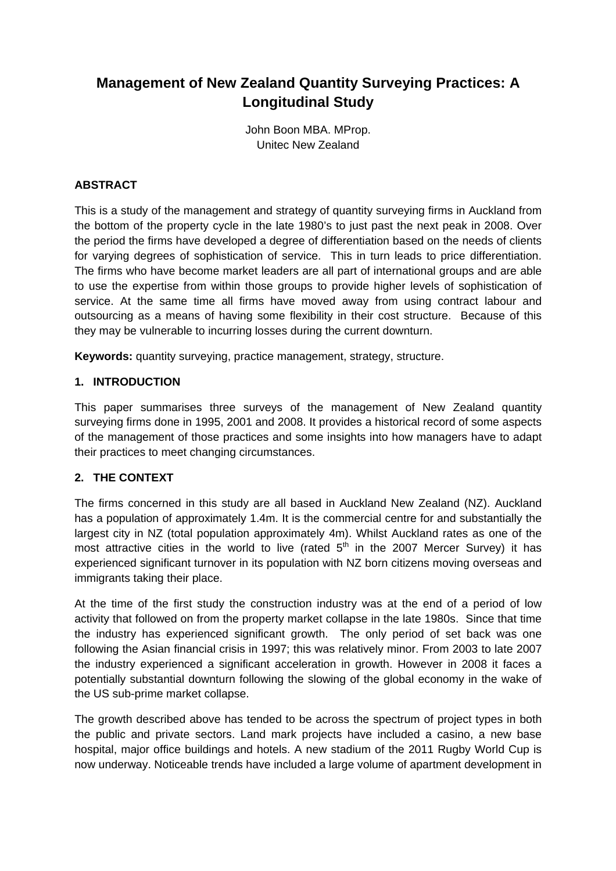## **Management of New Zealand Quantity Surveying Practices: A Longitudinal Study**

John Boon MBA. MProp. Unitec New Zealand

#### **ABSTRACT**

This is a study of the management and strategy of quantity surveying firms in Auckland from the bottom of the property cycle in the late 1980's to just past the next peak in 2008. Over the period the firms have developed a degree of differentiation based on the needs of clients for varying degrees of sophistication of service. This in turn leads to price differentiation. The firms who have become market leaders are all part of international groups and are able to use the expertise from within those groups to provide higher levels of sophistication of service. At the same time all firms have moved away from using contract labour and outsourcing as a means of having some flexibility in their cost structure. Because of this they may be vulnerable to incurring losses during the current downturn.

**Keywords:** quantity surveying, practice management, strategy, structure.

#### **1. INTRODUCTION**

This paper summarises three surveys of the management of New Zealand quantity surveying firms done in 1995, 2001 and 2008. It provides a historical record of some aspects of the management of those practices and some insights into how managers have to adapt their practices to meet changing circumstances.

#### **2. THE CONTEXT**

The firms concerned in this study are all based in Auckland New Zealand (NZ). Auckland has a population of approximately 1.4m. It is the commercial centre for and substantially the largest city in NZ (total population approximately 4m). Whilst Auckland rates as one of the most attractive cities in the world to live (rated  $5<sup>th</sup>$  in the 2007 Mercer Survey) it has experienced significant turnover in its population with NZ born citizens moving overseas and immigrants taking their place.

At the time of the first study the construction industry was at the end of a period of low activity that followed on from the property market collapse in the late 1980s. Since that time the industry has experienced significant growth. The only period of set back was one following the Asian financial crisis in 1997; this was relatively minor. From 2003 to late 2007 the industry experienced a significant acceleration in growth. However in 2008 it faces a potentially substantial downturn following the slowing of the global economy in the wake of the US sub-prime market collapse.

The growth described above has tended to be across the spectrum of project types in both the public and private sectors. Land mark projects have included a casino, a new base hospital, major office buildings and hotels. A new stadium of the 2011 Rugby World Cup is now underway. Noticeable trends have included a large volume of apartment development in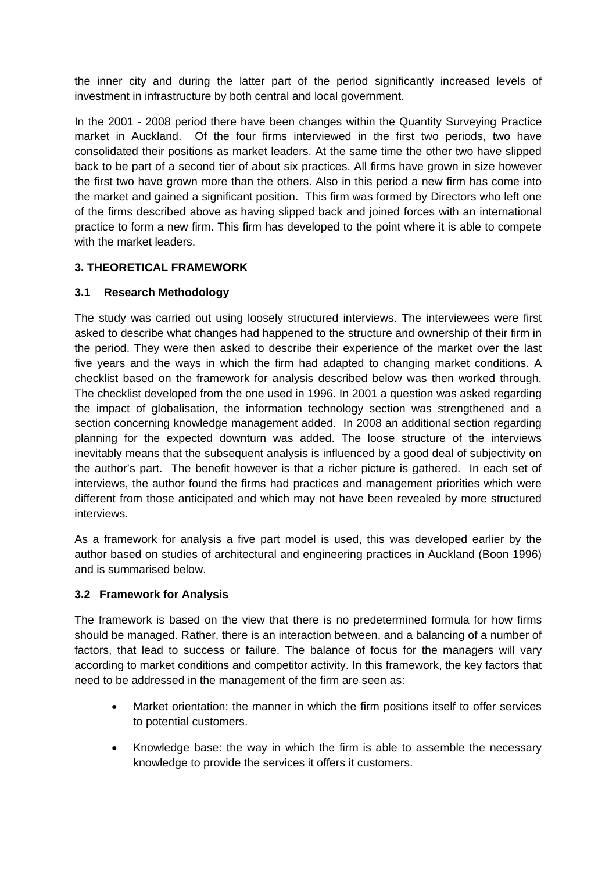the inner city and during the latter part of the period significantly increased levels of investment in infrastructure by both central and local government.

In the 2001 - 2008 period there have been changes within the Quantity Surveying Practice market in Auckland. Of the four firms interviewed in the first two periods, two have consolidated their positions as market leaders. At the same time the other two have slipped back to be part of a second tier of about six practices. All firms have grown in size however the first two have grown more than the others. Also in this period a new firm has come into the market and gained a significant position. This firm was formed by Directors who left one of the firms described above as having slipped back and joined forces with an international practice to form a new firm. This firm has developed to the point where it is able to compete with the market leaders.

#### **3. THEORETICAL FRAMEWORK**

#### **3.1 Research Methodology**

The study was carried out using loosely structured interviews. The interviewees were first asked to describe what changes had happened to the structure and ownership of their firm in the period. They were then asked to describe their experience of the market over the last five years and the ways in which the firm had adapted to changing market conditions. A checklist based on the framework for analysis described below was then worked through. The checklist developed from the one used in 1996. In 2001 a question was asked regarding the impact of globalisation, the information technology section was strengthened and a section concerning knowledge management added. In 2008 an additional section regarding planning for the expected downturn was added. The loose structure of the interviews inevitably means that the subsequent analysis is influenced by a good deal of subjectivity on the author's part. The benefit however is that a richer picture is gathered. In each set of interviews, the author found the firms had practices and management priorities which were different from those anticipated and which may not have been revealed by more structured interviews.

As a framework for analysis a five part model is used, this was developed earlier by the author based on studies of architectural and engineering practices in Auckland (Boon 1996) and is summarised below.

#### **3.2 Framework for Analysis**

The framework is based on the view that there is no predetermined formula for how firms should be managed. Rather, there is an interaction between, and a balancing of a number of factors, that lead to success or failure. The balance of focus for the managers will vary according to market conditions and competitor activity. In this framework, the key factors that need to be addressed in the management of the firm are seen as:

- Market orientation: the manner in which the firm positions itself to offer services to potential customers.
- Knowledge base: the way in which the firm is able to assemble the necessary knowledge to provide the services it offers it customers.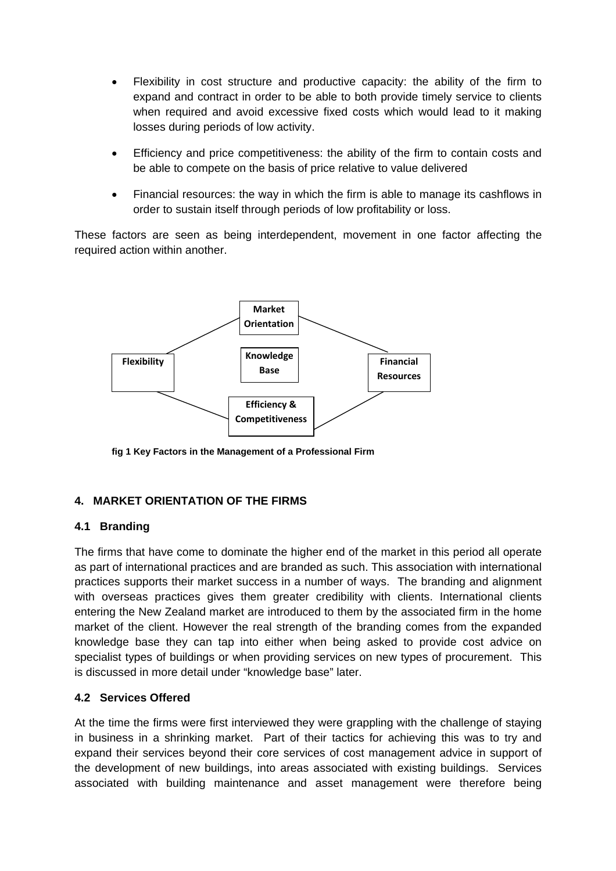- Flexibility in cost structure and productive capacity: the ability of the firm to expand and contract in order to be able to both provide timely service to clients when required and avoid excessive fixed costs which would lead to it making losses during periods of low activity.
- Efficiency and price competitiveness: the ability of the firm to contain costs and be able to compete on the basis of price relative to value delivered
- Financial resources: the way in which the firm is able to manage its cashflows in order to sustain itself through periods of low profitability or loss.

These factors are seen as being interdependent, movement in one factor affecting the required action within another.



**fig 1 Key Factors in the Management of a Professional Firm**

#### **4. MARKET ORIENTATION OF THE FIRMS**

#### **4.1 Branding**

The firms that have come to dominate the higher end of the market in this period all operate as part of international practices and are branded as such. This association with international practices supports their market success in a number of ways. The branding and alignment with overseas practices gives them greater credibility with clients. International clients entering the New Zealand market are introduced to them by the associated firm in the home market of the client. However the real strength of the branding comes from the expanded knowledge base they can tap into either when being asked to provide cost advice on specialist types of buildings or when providing services on new types of procurement. This is discussed in more detail under "knowledge base" later.

#### **4.2 Services Offered**

At the time the firms were first interviewed they were grappling with the challenge of staying in business in a shrinking market. Part of their tactics for achieving this was to try and expand their services beyond their core services of cost management advice in support of the development of new buildings, into areas associated with existing buildings. Services associated with building maintenance and asset management were therefore being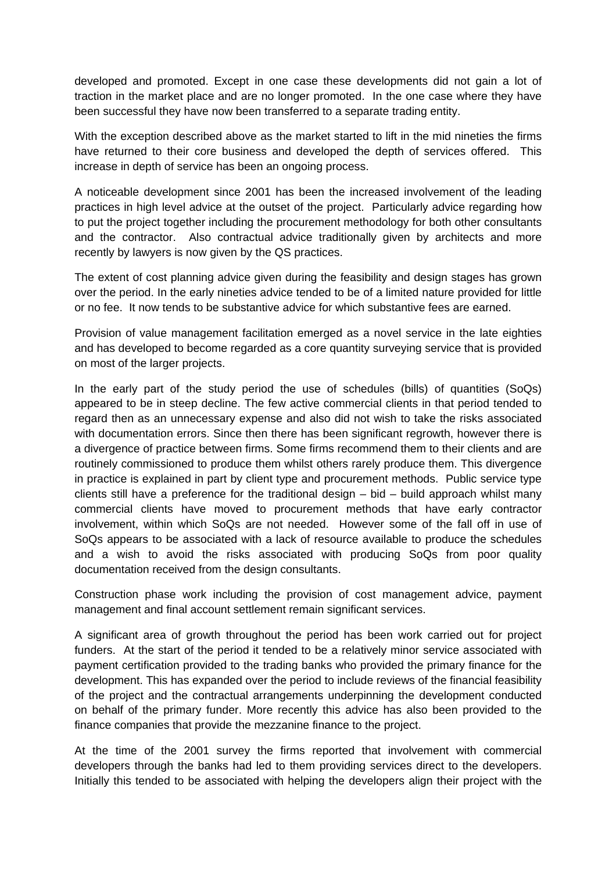developed and promoted. Except in one case these developments did not gain a lot of traction in the market place and are no longer promoted. In the one case where they have been successful they have now been transferred to a separate trading entity.

With the exception described above as the market started to lift in the mid nineties the firms have returned to their core business and developed the depth of services offered. This increase in depth of service has been an ongoing process.

A noticeable development since 2001 has been the increased involvement of the leading practices in high level advice at the outset of the project. Particularly advice regarding how to put the project together including the procurement methodology for both other consultants and the contractor. Also contractual advice traditionally given by architects and more recently by lawyers is now given by the QS practices.

The extent of cost planning advice given during the feasibility and design stages has grown over the period. In the early nineties advice tended to be of a limited nature provided for little or no fee. It now tends to be substantive advice for which substantive fees are earned.

Provision of value management facilitation emerged as a novel service in the late eighties and has developed to become regarded as a core quantity surveying service that is provided on most of the larger projects.

In the early part of the study period the use of schedules (bills) of quantities (SoQs) appeared to be in steep decline. The few active commercial clients in that period tended to regard then as an unnecessary expense and also did not wish to take the risks associated with documentation errors. Since then there has been significant regrowth, however there is a divergence of practice between firms. Some firms recommend them to their clients and are routinely commissioned to produce them whilst others rarely produce them. This divergence in practice is explained in part by client type and procurement methods. Public service type clients still have a preference for the traditional design  $-$  bid  $-$  build approach whilst many commercial clients have moved to procurement methods that have early contractor involvement, within which SoQs are not needed. However some of the fall off in use of SoQs appears to be associated with a lack of resource available to produce the schedules and a wish to avoid the risks associated with producing SoQs from poor quality documentation received from the design consultants.

Construction phase work including the provision of cost management advice, payment management and final account settlement remain significant services.

A significant area of growth throughout the period has been work carried out for project funders. At the start of the period it tended to be a relatively minor service associated with payment certification provided to the trading banks who provided the primary finance for the development. This has expanded over the period to include reviews of the financial feasibility of the project and the contractual arrangements underpinning the development conducted on behalf of the primary funder. More recently this advice has also been provided to the finance companies that provide the mezzanine finance to the project.

At the time of the 2001 survey the firms reported that involvement with commercial developers through the banks had led to them providing services direct to the developers. Initially this tended to be associated with helping the developers align their project with the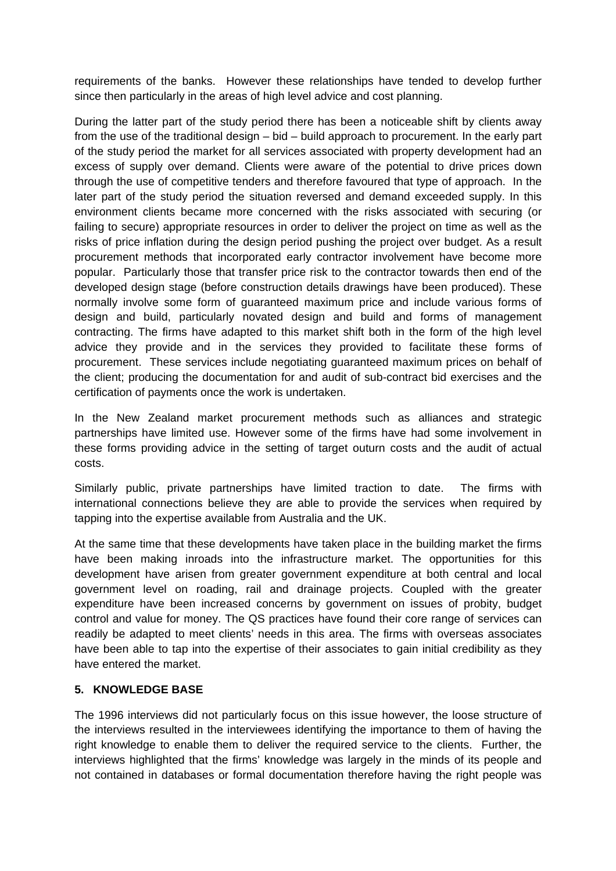requirements of the banks. However these relationships have tended to develop further since then particularly in the areas of high level advice and cost planning.

During the latter part of the study period there has been a noticeable shift by clients away from the use of the traditional design – bid – build approach to procurement. In the early part of the study period the market for all services associated with property development had an excess of supply over demand. Clients were aware of the potential to drive prices down through the use of competitive tenders and therefore favoured that type of approach. In the later part of the study period the situation reversed and demand exceeded supply. In this environment clients became more concerned with the risks associated with securing (or failing to secure) appropriate resources in order to deliver the project on time as well as the risks of price inflation during the design period pushing the project over budget. As a result procurement methods that incorporated early contractor involvement have become more popular. Particularly those that transfer price risk to the contractor towards then end of the developed design stage (before construction details drawings have been produced). These normally involve some form of guaranteed maximum price and include various forms of design and build, particularly novated design and build and forms of management contracting. The firms have adapted to this market shift both in the form of the high level advice they provide and in the services they provided to facilitate these forms of procurement. These services include negotiating guaranteed maximum prices on behalf of the client; producing the documentation for and audit of sub-contract bid exercises and the certification of payments once the work is undertaken.

In the New Zealand market procurement methods such as alliances and strategic partnerships have limited use. However some of the firms have had some involvement in these forms providing advice in the setting of target outurn costs and the audit of actual costs.

Similarly public, private partnerships have limited traction to date. The firms with international connections believe they are able to provide the services when required by tapping into the expertise available from Australia and the UK.

At the same time that these developments have taken place in the building market the firms have been making inroads into the infrastructure market. The opportunities for this development have arisen from greater government expenditure at both central and local government level on roading, rail and drainage projects. Coupled with the greater expenditure have been increased concerns by government on issues of probity, budget control and value for money. The QS practices have found their core range of services can readily be adapted to meet clients' needs in this area. The firms with overseas associates have been able to tap into the expertise of their associates to gain initial credibility as they have entered the market.

#### **5. KNOWLEDGE BASE**

The 1996 interviews did not particularly focus on this issue however, the loose structure of the interviews resulted in the interviewees identifying the importance to them of having the right knowledge to enable them to deliver the required service to the clients. Further, the interviews highlighted that the firms' knowledge was largely in the minds of its people and not contained in databases or formal documentation therefore having the right people was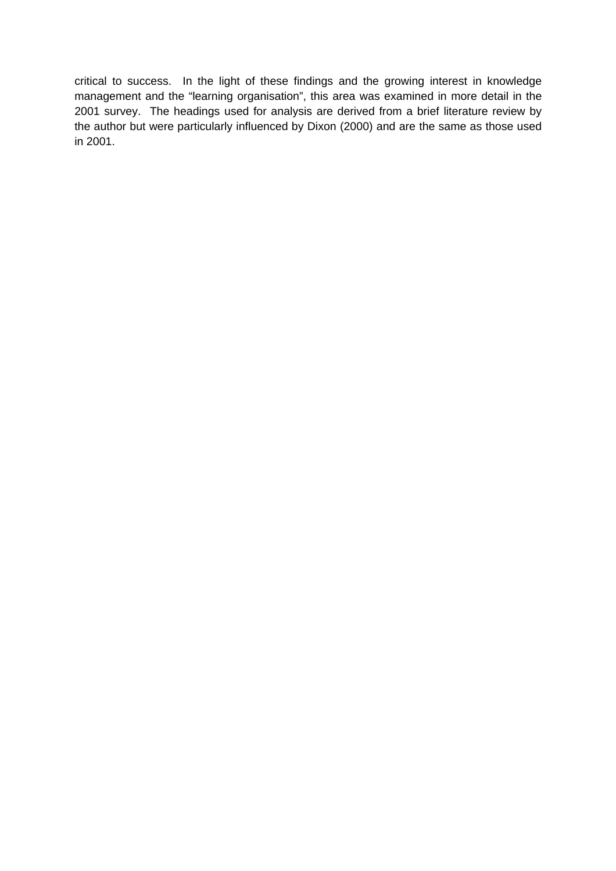critical to success. In the light of these findings and the growing interest in knowledge management and the "learning organisation", this area was examined in more detail in the 2001 survey. The headings used for analysis are derived from a brief literature review by the author but were particularly influenced by Dixon (2000) and are the same as those used in 2001.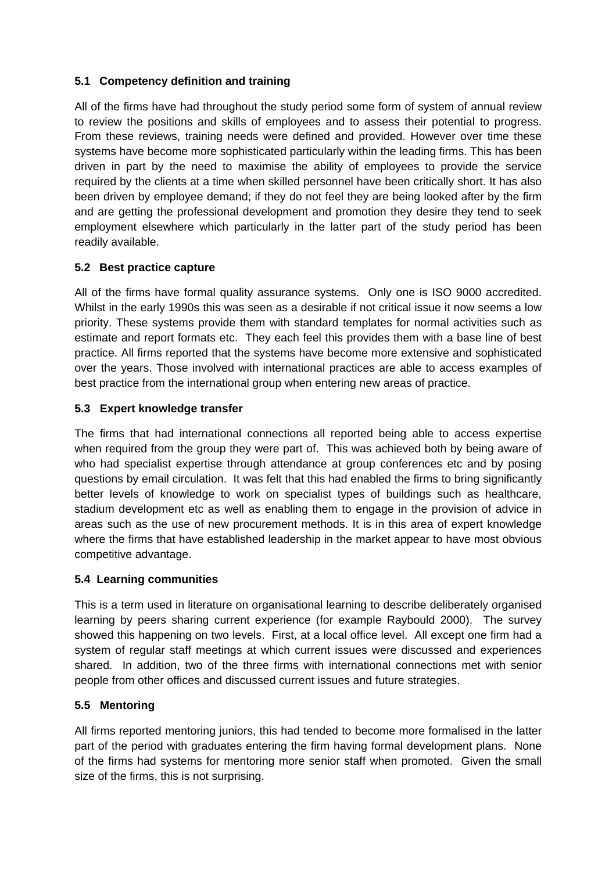#### **5.1 Competency definition and training**

All of the firms have had throughout the study period some form of system of annual review to review the positions and skills of employees and to assess their potential to progress. From these reviews, training needs were defined and provided. However over time these systems have become more sophisticated particularly within the leading firms. This has been driven in part by the need to maximise the ability of employees to provide the service required by the clients at a time when skilled personnel have been critically short. It has also been driven by employee demand; if they do not feel they are being looked after by the firm and are getting the professional development and promotion they desire they tend to seek employment elsewhere which particularly in the latter part of the study period has been readily available.

#### **5.2 Best practice capture**

All of the firms have formal quality assurance systems. Only one is ISO 9000 accredited. Whilst in the early 1990s this was seen as a desirable if not critical issue it now seems a low priority. These systems provide them with standard templates for normal activities such as estimate and report formats etc. They each feel this provides them with a base line of best practice. All firms reported that the systems have become more extensive and sophisticated over the years. Those involved with international practices are able to access examples of best practice from the international group when entering new areas of practice.

#### **5.3 Expert knowledge transfer**

The firms that had international connections all reported being able to access expertise when required from the group they were part of. This was achieved both by being aware of who had specialist expertise through attendance at group conferences etc and by posing questions by email circulation. It was felt that this had enabled the firms to bring significantly better levels of knowledge to work on specialist types of buildings such as healthcare, stadium development etc as well as enabling them to engage in the provision of advice in areas such as the use of new procurement methods. It is in this area of expert knowledge where the firms that have established leadership in the market appear to have most obvious competitive advantage.

#### **5.4 Learning communities**

This is a term used in literature on organisational learning to describe deliberately organised learning by peers sharing current experience (for example Raybould 2000). The survey showed this happening on two levels. First, at a local office level. All except one firm had a system of regular staff meetings at which current issues were discussed and experiences shared. In addition, two of the three firms with international connections met with senior people from other offices and discussed current issues and future strategies.

#### **5.5 Mentoring**

All firms reported mentoring juniors, this had tended to become more formalised in the latter part of the period with graduates entering the firm having formal development plans. None of the firms had systems for mentoring more senior staff when promoted. Given the small size of the firms, this is not surprising.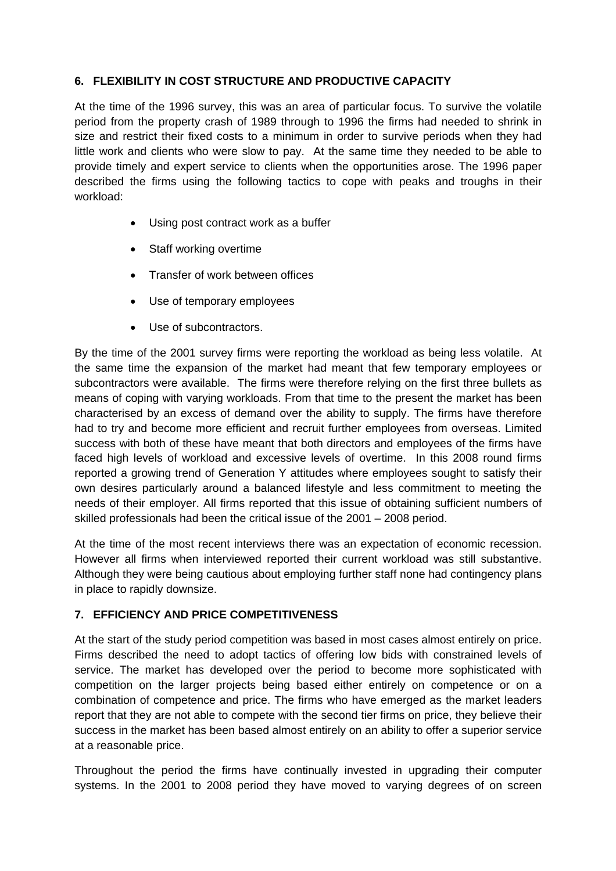#### **6. FLEXIBILITY IN COST STRUCTURE AND PRODUCTIVE CAPACITY**

At the time of the 1996 survey, this was an area of particular focus. To survive the volatile period from the property crash of 1989 through to 1996 the firms had needed to shrink in size and restrict their fixed costs to a minimum in order to survive periods when they had little work and clients who were slow to pay. At the same time they needed to be able to provide timely and expert service to clients when the opportunities arose. The 1996 paper described the firms using the following tactics to cope with peaks and troughs in their workload:

- Using post contract work as a buffer
- Staff working overtime
- Transfer of work between offices
- Use of temporary employees
- Use of subcontractors.

By the time of the 2001 survey firms were reporting the workload as being less volatile. At the same time the expansion of the market had meant that few temporary employees or subcontractors were available. The firms were therefore relying on the first three bullets as means of coping with varying workloads. From that time to the present the market has been characterised by an excess of demand over the ability to supply. The firms have therefore had to try and become more efficient and recruit further employees from overseas. Limited success with both of these have meant that both directors and employees of the firms have faced high levels of workload and excessive levels of overtime. In this 2008 round firms reported a growing trend of Generation Y attitudes where employees sought to satisfy their own desires particularly around a balanced lifestyle and less commitment to meeting the needs of their employer. All firms reported that this issue of obtaining sufficient numbers of skilled professionals had been the critical issue of the 2001 – 2008 period.

At the time of the most recent interviews there was an expectation of economic recession. However all firms when interviewed reported their current workload was still substantive. Although they were being cautious about employing further staff none had contingency plans in place to rapidly downsize.

#### **7. EFFICIENCY AND PRICE COMPETITIVENESS**

At the start of the study period competition was based in most cases almost entirely on price. Firms described the need to adopt tactics of offering low bids with constrained levels of service. The market has developed over the period to become more sophisticated with competition on the larger projects being based either entirely on competence or on a combination of competence and price. The firms who have emerged as the market leaders report that they are not able to compete with the second tier firms on price, they believe their success in the market has been based almost entirely on an ability to offer a superior service at a reasonable price.

Throughout the period the firms have continually invested in upgrading their computer systems. In the 2001 to 2008 period they have moved to varying degrees of on screen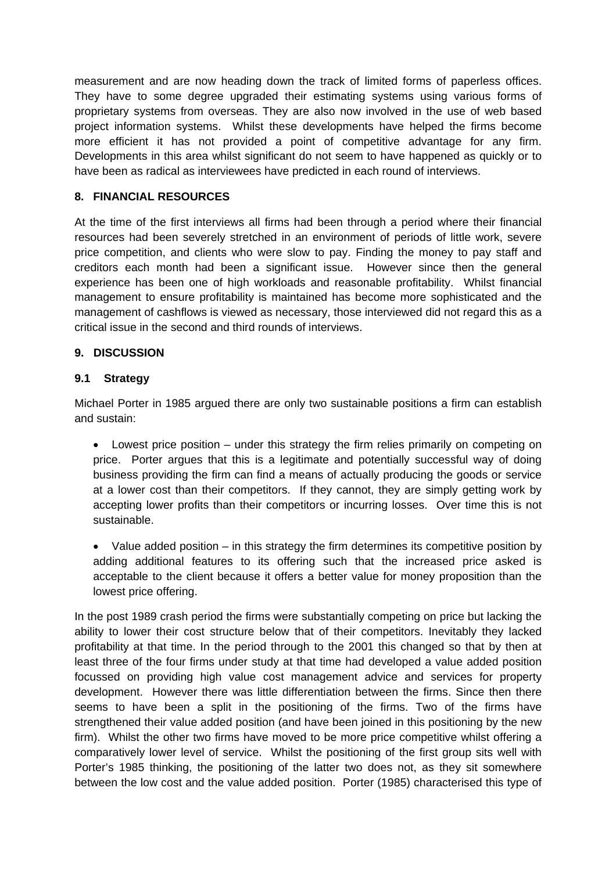measurement and are now heading down the track of limited forms of paperless offices. They have to some degree upgraded their estimating systems using various forms of proprietary systems from overseas. They are also now involved in the use of web based project information systems. Whilst these developments have helped the firms become more efficient it has not provided a point of competitive advantage for any firm. Developments in this area whilst significant do not seem to have happened as quickly or to have been as radical as interviewees have predicted in each round of interviews.

#### **8. FINANCIAL RESOURCES**

At the time of the first interviews all firms had been through a period where their financial resources had been severely stretched in an environment of periods of little work, severe price competition, and clients who were slow to pay. Finding the money to pay staff and creditors each month had been a significant issue. However since then the general experience has been one of high workloads and reasonable profitability. Whilst financial management to ensure profitability is maintained has become more sophisticated and the management of cashflows is viewed as necessary, those interviewed did not regard this as a critical issue in the second and third rounds of interviews.

#### **9. DISCUSSION**

#### **9.1 Strategy**

Michael Porter in 1985 argued there are only two sustainable positions a firm can establish and sustain:

• Lowest price position – under this strategy the firm relies primarily on competing on price. Porter argues that this is a legitimate and potentially successful way of doing business providing the firm can find a means of actually producing the goods or service at a lower cost than their competitors. If they cannot, they are simply getting work by accepting lower profits than their competitors or incurring losses. Over time this is not sustainable.

• Value added position – in this strategy the firm determines its competitive position by adding additional features to its offering such that the increased price asked is acceptable to the client because it offers a better value for money proposition than the lowest price offering.

In the post 1989 crash period the firms were substantially competing on price but lacking the ability to lower their cost structure below that of their competitors. Inevitably they lacked profitability at that time. In the period through to the 2001 this changed so that by then at least three of the four firms under study at that time had developed a value added position focussed on providing high value cost management advice and services for property development. However there was little differentiation between the firms. Since then there seems to have been a split in the positioning of the firms. Two of the firms have strengthened their value added position (and have been joined in this positioning by the new firm). Whilst the other two firms have moved to be more price competitive whilst offering a comparatively lower level of service. Whilst the positioning of the first group sits well with Porter's 1985 thinking, the positioning of the latter two does not, as they sit somewhere between the low cost and the value added position. Porter (1985) characterised this type of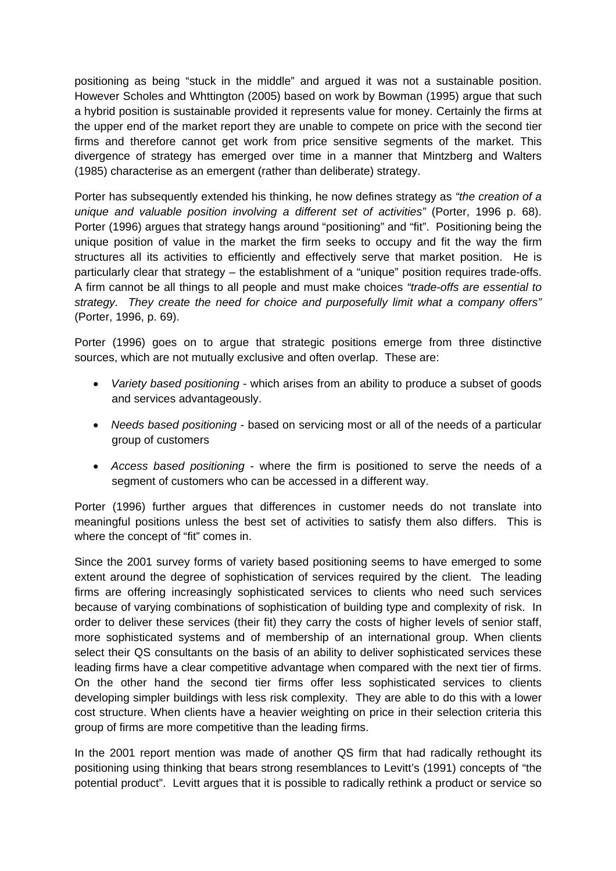positioning as being "stuck in the middle" and argued it was not a sustainable position. However Scholes and Whttington (2005) based on work by Bowman (1995) argue that such a hybrid position is sustainable provided it represents value for money. Certainly the firms at the upper end of the market report they are unable to compete on price with the second tier firms and therefore cannot get work from price sensitive segments of the market. This divergence of strategy has emerged over time in a manner that Mintzberg and Walters (1985) characterise as an emergent (rather than deliberate) strategy.

Porter has subsequently extended his thinking, he now defines strategy as *"the creation of a unique and valuable position involving a different set of activities"* (Porter, 1996 p. 68). Porter (1996) argues that strategy hangs around "positioning" and "fit". Positioning being the unique position of value in the market the firm seeks to occupy and fit the way the firm structures all its activities to efficiently and effectively serve that market position. He is particularly clear that strategy – the establishment of a "unique" position requires trade-offs. A firm cannot be all things to all people and must make choices *"trade-offs are essential to strategy. They create the need for choice and purposefully limit what a company offers"* (Porter, 1996, p. 69).

Porter (1996) goes on to argue that strategic positions emerge from three distinctive sources, which are not mutually exclusive and often overlap. These are:

- *Variety based positioning* which arises from an ability to produce a subset of goods and services advantageously.
- *Needs based positioning* based on servicing most or all of the needs of a particular group of customers
- *Access based positioning* where the firm is positioned to serve the needs of a segment of customers who can be accessed in a different way.

Porter (1996) further argues that differences in customer needs do not translate into meaningful positions unless the best set of activities to satisfy them also differs. This is where the concept of "fit" comes in.

Since the 2001 survey forms of variety based positioning seems to have emerged to some extent around the degree of sophistication of services required by the client. The leading firms are offering increasingly sophisticated services to clients who need such services because of varying combinations of sophistication of building type and complexity of risk. In order to deliver these services (their fit) they carry the costs of higher levels of senior staff, more sophisticated systems and of membership of an international group. When clients select their QS consultants on the basis of an ability to deliver sophisticated services these leading firms have a clear competitive advantage when compared with the next tier of firms. On the other hand the second tier firms offer less sophisticated services to clients developing simpler buildings with less risk complexity. They are able to do this with a lower cost structure. When clients have a heavier weighting on price in their selection criteria this group of firms are more competitive than the leading firms.

In the 2001 report mention was made of another QS firm that had radically rethought its positioning using thinking that bears strong resemblances to Levitt's (1991) concepts of "the potential product". Levitt argues that it is possible to radically rethink a product or service so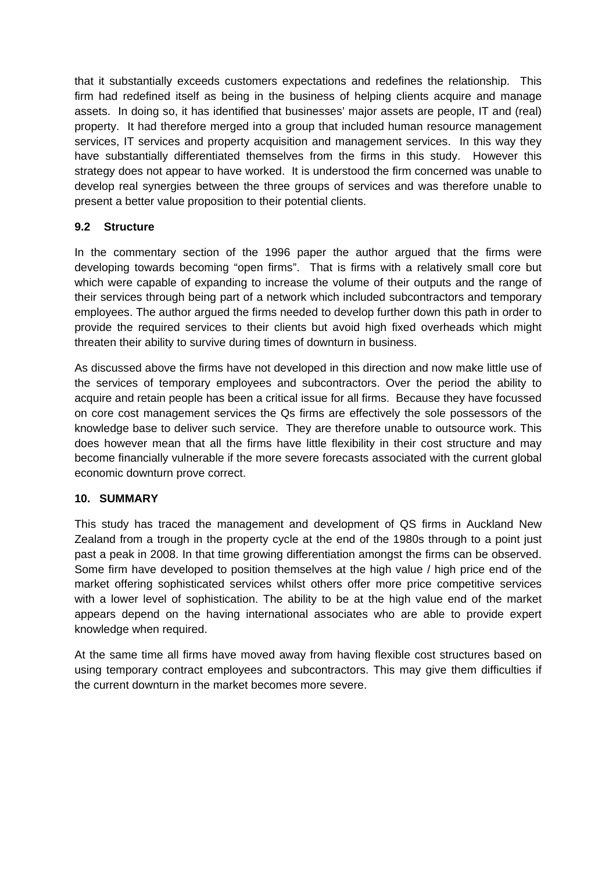that it substantially exceeds customers expectations and redefines the relationship. This firm had redefined itself as being in the business of helping clients acquire and manage assets. In doing so, it has identified that businesses' major assets are people, IT and (real) property. It had therefore merged into a group that included human resource management services, IT services and property acquisition and management services. In this way they have substantially differentiated themselves from the firms in this study. However this strategy does not appear to have worked. It is understood the firm concerned was unable to develop real synergies between the three groups of services and was therefore unable to present a better value proposition to their potential clients.

#### **9.2 Structure**

In the commentary section of the 1996 paper the author argued that the firms were developing towards becoming "open firms". That is firms with a relatively small core but which were capable of expanding to increase the volume of their outputs and the range of their services through being part of a network which included subcontractors and temporary employees. The author argued the firms needed to develop further down this path in order to provide the required services to their clients but avoid high fixed overheads which might threaten their ability to survive during times of downturn in business.

As discussed above the firms have not developed in this direction and now make little use of the services of temporary employees and subcontractors. Over the period the ability to acquire and retain people has been a critical issue for all firms. Because they have focussed on core cost management services the Qs firms are effectively the sole possessors of the knowledge base to deliver such service. They are therefore unable to outsource work. This does however mean that all the firms have little flexibility in their cost structure and may become financially vulnerable if the more severe forecasts associated with the current global economic downturn prove correct.

#### **10. SUMMARY**

This study has traced the management and development of QS firms in Auckland New Zealand from a trough in the property cycle at the end of the 1980s through to a point just past a peak in 2008. In that time growing differentiation amongst the firms can be observed. Some firm have developed to position themselves at the high value / high price end of the market offering sophisticated services whilst others offer more price competitive services with a lower level of sophistication. The ability to be at the high value end of the market appears depend on the having international associates who are able to provide expert knowledge when required.

At the same time all firms have moved away from having flexible cost structures based on using temporary contract employees and subcontractors. This may give them difficulties if the current downturn in the market becomes more severe.